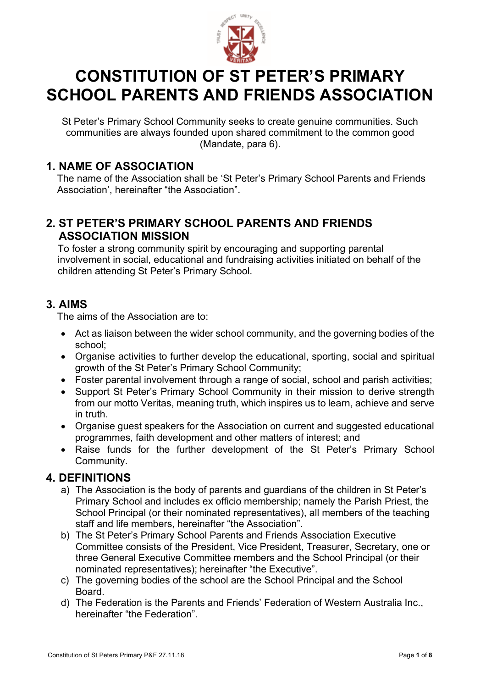

# **CONSTITUTION OF ST PETER'S PRIMARY SCHOOL PARENTS AND FRIENDS ASSOCIATION**

St Peter's Primary School Community seeks to create genuine communities. Such communities are always founded upon shared commitment to the common good (Mandate, para 6).

# **1. NAME OF ASSOCIATION**

The name of the Association shall be 'St Peter's Primary School Parents and Friends Association', hereinafter "the Association".

# **2. ST PETER'S PRIMARY SCHOOL PARENTS AND FRIENDS ASSOCIATION MISSION**

To foster a strong community spirit by encouraging and supporting parental involvement in social, educational and fundraising activities initiated on behalf of the children attending St Peter's Primary School.

## **3. AIMS**

The aims of the Association are to:

- Act as liaison between the wider school community, and the governing bodies of the school;
- Organise activities to further develop the educational, sporting, social and spiritual growth of the St Peter's Primary School Community;
- Foster parental involvement through a range of social, school and parish activities;
- Support St Peter's Primary School Community in their mission to derive strength from our motto Veritas, meaning truth, which inspires us to learn, achieve and serve in truth.
- Organise guest speakers for the Association on current and suggested educational programmes, faith development and other matters of interest; and
- Raise funds for the further development of the St Peter's Primary School Community.

## **4. DEFINITIONS**

- a) The Association is the body of parents and guardians of the children in St Peter's Primary School and includes ex officio membership; namely the Parish Priest, the School Principal (or their nominated representatives), all members of the teaching staff and life members, hereinafter "the Association".
- b) The St Peter's Primary School Parents and Friends Association Executive Committee consists of the President, Vice President, Treasurer, Secretary, one or three General Executive Committee members and the School Principal (or their nominated representatives); hereinafter "the Executive".
- c) The governing bodies of the school are the School Principal and the School Board.
- d) The Federation is the Parents and Friends' Federation of Western Australia Inc., hereinafter "the Federation".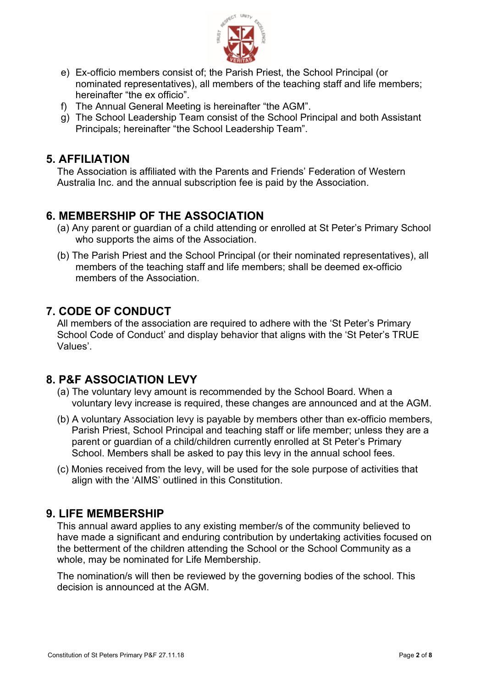

- e) Ex-officio members consist of; the Parish Priest, the School Principal (or nominated representatives), all members of the teaching staff and life members; hereinafter "the ex officio".
- f) The Annual General Meeting is hereinafter "the AGM".
- g) The School Leadership Team consist of the School Principal and both Assistant Principals; hereinafter "the School Leadership Team".

#### **5. AFFILIATION**

The Association is affiliated with the Parents and Friends' Federation of Western Australia Inc. and the annual subscription fee is paid by the Association.

# **6. MEMBERSHIP OF THE ASSOCIATION**

- (a) Any parent or guardian of a child attending or enrolled at St Peter's Primary School who supports the aims of the Association.
- (b) The Parish Priest and the School Principal (or their nominated representatives), all members of the teaching staff and life members; shall be deemed ex-officio members of the Association.

# **7. CODE OF CONDUCT**

All members of the association are required to adhere with the 'St Peter's Primary School Code of Conduct' and display behavior that aligns with the 'St Peter's TRUE Values'.

## **8. P&F ASSOCIATION LEVY**

- (a) The voluntary levy amount is recommended by the School Board. When a voluntary levy increase is required, these changes are announced and at the AGM.
- (b) A voluntary Association levy is payable by members other than ex-officio members, Parish Priest, School Principal and teaching staff or life member; unless they are a parent or guardian of a child/children currently enrolled at St Peter's Primary School. Members shall be asked to pay this levy in the annual school fees.
- (c) Monies received from the levy, will be used for the sole purpose of activities that align with the 'AIMS' outlined in this Constitution.

## **9. LIFE MEMBERSHIP**

This annual award applies to any existing member/s of the community believed to have made a significant and enduring contribution by undertaking activities focused on the betterment of the children attending the School or the School Community as a whole, may be nominated for Life Membership.

The nomination/s will then be reviewed by the governing bodies of the school. This decision is announced at the AGM.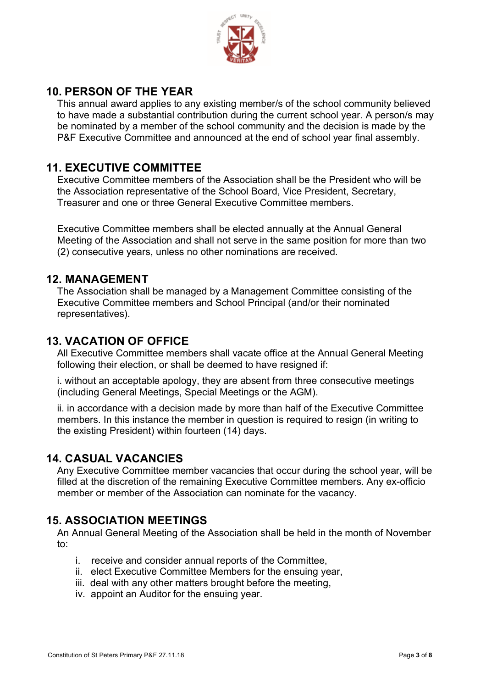

# **10. PERSON OF THE YEAR**

This annual award applies to any existing member/s of the school community believed to have made a substantial contribution during the current school year. A person/s may be nominated by a member of the school community and the decision is made by the P&F Executive Committee and announced at the end of school year final assembly.

# **11. EXECUTIVE COMMITTEE**

Executive Committee members of the Association shall be the President who will be the Association representative of the School Board, Vice President, Secretary, Treasurer and one or three General Executive Committee members.

Executive Committee members shall be elected annually at the Annual General Meeting of the Association and shall not serve in the same position for more than two (2) consecutive years, unless no other nominations are received.

#### **12. MANAGEMENT**

The Association shall be managed by a Management Committee consisting of the Executive Committee members and School Principal (and/or their nominated representatives).

#### **13. VACATION OF OFFICE**

All Executive Committee members shall vacate office at the Annual General Meeting following their election, or shall be deemed to have resigned if:

i. without an acceptable apology, they are absent from three consecutive meetings (including General Meetings, Special Meetings or the AGM).

ii. in accordance with a decision made by more than half of the Executive Committee members. In this instance the member in question is required to resign (in writing to the existing President) within fourteen (14) days.

## **14. CASUAL VACANCIES**

Any Executive Committee member vacancies that occur during the school year, will be filled at the discretion of the remaining Executive Committee members. Any ex-officio member or member of the Association can nominate for the vacancy.

## **15. ASSOCIATION MEETINGS**

An Annual General Meeting of the Association shall be held in the month of November to:

- i. receive and consider annual reports of the Committee,
- ii. elect Executive Committee Members for the ensuing year,
- iii. deal with any other matters brought before the meeting,
- iv. appoint an Auditor for the ensuing year.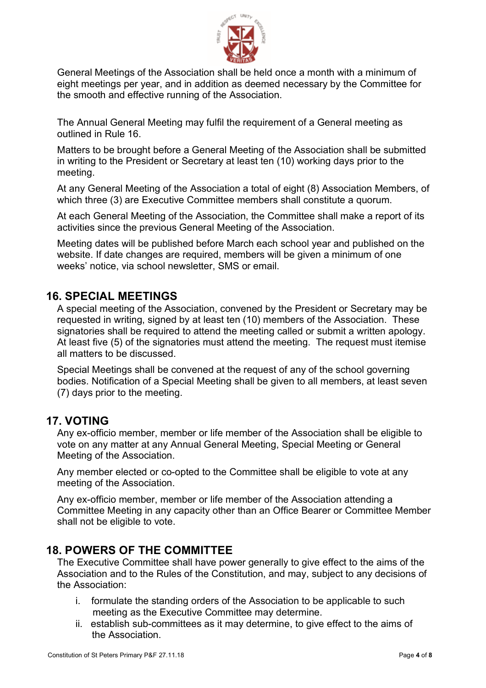

General Meetings of the Association shall be held once a month with a minimum of eight meetings per year, and in addition as deemed necessary by the Committee for the smooth and effective running of the Association.

The Annual General Meeting may fulfil the requirement of a General meeting as outlined in Rule 16.

Matters to be brought before a General Meeting of the Association shall be submitted in writing to the President or Secretary at least ten (10) working days prior to the meeting.

At any General Meeting of the Association a total of eight (8) Association Members, of which three (3) are Executive Committee members shall constitute a quorum.

At each General Meeting of the Association, the Committee shall make a report of its activities since the previous General Meeting of the Association.

Meeting dates will be published before March each school year and published on the website. If date changes are required, members will be given a minimum of one weeks' notice, via school newsletter, SMS or email.

#### **16. SPECIAL MEETINGS**

A special meeting of the Association, convened by the President or Secretary may be requested in writing, signed by at least ten (10) members of the Association. These signatories shall be required to attend the meeting called or submit a written apology. At least five (5) of the signatories must attend the meeting. The request must itemise all matters to be discussed.

Special Meetings shall be convened at the request of any of the school governing bodies. Notification of a Special Meeting shall be given to all members, at least seven (7) days prior to the meeting.

#### **17. VOTING**

Any ex-officio member, member or life member of the Association shall be eligible to vote on any matter at any Annual General Meeting, Special Meeting or General Meeting of the Association.

Any member elected or co-opted to the Committee shall be eligible to vote at any meeting of the Association.

Any ex-officio member, member or life member of the Association attending a Committee Meeting in any capacity other than an Office Bearer or Committee Member shall not be eligible to vote.

#### **18. POWERS OF THE COMMITTEE**

The Executive Committee shall have power generally to give effect to the aims of the Association and to the Rules of the Constitution, and may, subject to any decisions of the Association:

- i. formulate the standing orders of the Association to be applicable to such meeting as the Executive Committee may determine.
- ii. establish sub-committees as it may determine, to give effect to the aims of the Association.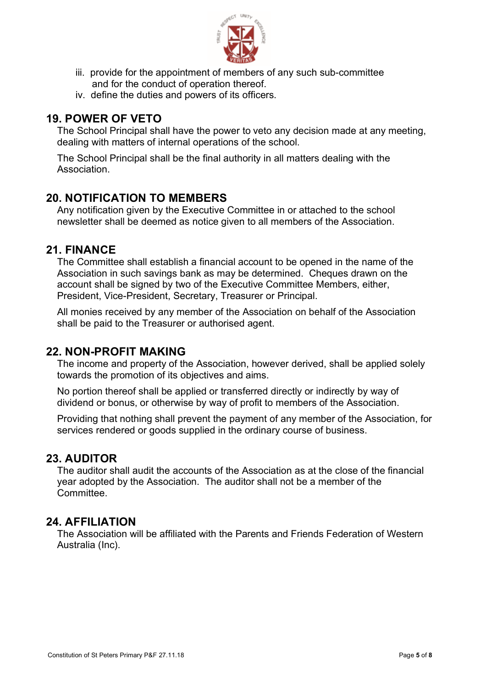

- iii. provide for the appointment of members of any such sub-committee and for the conduct of operation thereof.
- iv. define the duties and powers of its officers.

## **19. POWER OF VETO**

The School Principal shall have the power to veto any decision made at any meeting, dealing with matters of internal operations of the school.

The School Principal shall be the final authority in all matters dealing with the Association.

## **20. NOTIFICATION TO MEMBERS**

Any notification given by the Executive Committee in or attached to the school newsletter shall be deemed as notice given to all members of the Association.

#### **21. FINANCE**

The Committee shall establish a financial account to be opened in the name of the Association in such savings bank as may be determined. Cheques drawn on the account shall be signed by two of the Executive Committee Members, either, President, Vice-President, Secretary, Treasurer or Principal.

All monies received by any member of the Association on behalf of the Association shall be paid to the Treasurer or authorised agent.

## **22. NON-PROFIT MAKING**

The income and property of the Association, however derived, shall be applied solely towards the promotion of its objectives and aims.

No portion thereof shall be applied or transferred directly or indirectly by way of dividend or bonus, or otherwise by way of profit to members of the Association.

Providing that nothing shall prevent the payment of any member of the Association, for services rendered or goods supplied in the ordinary course of business.

## **23. AUDITOR**

The auditor shall audit the accounts of the Association as at the close of the financial year adopted by the Association. The auditor shall not be a member of the Committee.

#### **24. AFFILIATION**

The Association will be affiliated with the Parents and Friends Federation of Western Australia (Inc).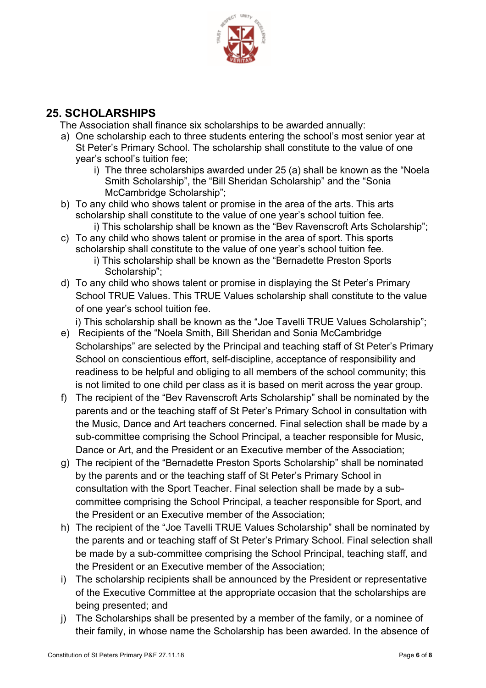

# **25. SCHOLARSHIPS**

The Association shall finance six scholarships to be awarded annually:

- a) One scholarship each to three students entering the school's most senior year at St Peter's Primary School. The scholarship shall constitute to the value of one year's school's tuition fee;
	- i) The three scholarships awarded under 25 (a) shall be known as the "Noela Smith Scholarship", the "Bill Sheridan Scholarship" and the "Sonia McCambridge Scholarship";
- b) To any child who shows talent or promise in the area of the arts. This arts scholarship shall constitute to the value of one year's school tuition fee.
	- i) This scholarship shall be known as the "Bev Ravenscroft Arts Scholarship";
- c) To any child who shows talent or promise in the area of sport. This sports scholarship shall constitute to the value of one year's school tuition fee.
	- i) This scholarship shall be known as the "Bernadette Preston Sports Scholarship";
- d) To any child who shows talent or promise in displaying the St Peter's Primary School TRUE Values. This TRUE Values scholarship shall constitute to the value of one year's school tuition fee.

i) This scholarship shall be known as the "Joe Tavelli TRUE Values Scholarship";

- e) Recipients of the "Noela Smith, Bill Sheridan and Sonia McCambridge Scholarships" are selected by the Principal and teaching staff of St Peter's Primary School on conscientious effort, self-discipline, acceptance of responsibility and readiness to be helpful and obliging to all members of the school community; this is not limited to one child per class as it is based on merit across the year group.
- f) The recipient of the "Bev Ravenscroft Arts Scholarship" shall be nominated by the parents and or the teaching staff of St Peter's Primary School in consultation with the Music, Dance and Art teachers concerned. Final selection shall be made by a sub-committee comprising the School Principal, a teacher responsible for Music, Dance or Art, and the President or an Executive member of the Association;
- g) The recipient of the "Bernadette Preston Sports Scholarship" shall be nominated by the parents and or the teaching staff of St Peter's Primary School in consultation with the Sport Teacher. Final selection shall be made by a subcommittee comprising the School Principal, a teacher responsible for Sport, and the President or an Executive member of the Association;
- h) The recipient of the "Joe Tavelli TRUE Values Scholarship" shall be nominated by the parents and or teaching staff of St Peter's Primary School. Final selection shall be made by a sub-committee comprising the School Principal, teaching staff, and the President or an Executive member of the Association;
- i) The scholarship recipients shall be announced by the President or representative of the Executive Committee at the appropriate occasion that the scholarships are being presented; and
- j) The Scholarships shall be presented by a member of the family, or a nominee of their family, in whose name the Scholarship has been awarded. In the absence of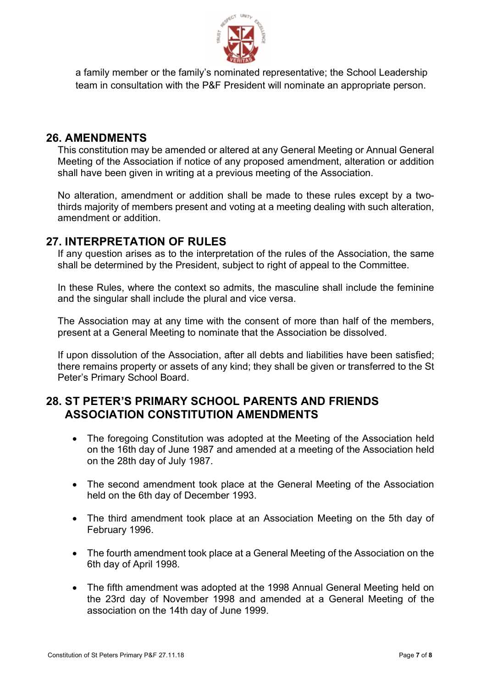

a family member or the family's nominated representative; the School Leadership team in consultation with the P&F President will nominate an appropriate person.

## **26. AMENDMENTS**

This constitution may be amended or altered at any General Meeting or Annual General Meeting of the Association if notice of any proposed amendment, alteration or addition shall have been given in writing at a previous meeting of the Association.

No alteration, amendment or addition shall be made to these rules except by a twothirds majority of members present and voting at a meeting dealing with such alteration, amendment or addition.

#### **27. INTERPRETATION OF RULES**

If any question arises as to the interpretation of the rules of the Association, the same shall be determined by the President, subject to right of appeal to the Committee.

In these Rules, where the context so admits, the masculine shall include the feminine and the singular shall include the plural and vice versa.

The Association may at any time with the consent of more than half of the members, present at a General Meeting to nominate that the Association be dissolved.

If upon dissolution of the Association, after all debts and liabilities have been satisfied; there remains property or assets of any kind; they shall be given or transferred to the St Peter's Primary School Board.

# **28. ST PETER'S PRIMARY SCHOOL PARENTS AND FRIENDS ASSOCIATION CONSTITUTION AMENDMENTS**

- The foregoing Constitution was adopted at the Meeting of the Association held on the 16th day of June 1987 and amended at a meeting of the Association held on the 28th day of July 1987.
- The second amendment took place at the General Meeting of the Association held on the 6th day of December 1993.
- The third amendment took place at an Association Meeting on the 5th day of February 1996.
- The fourth amendment took place at a General Meeting of the Association on the 6th day of April 1998.
- The fifth amendment was adopted at the 1998 Annual General Meeting held on the 23rd day of November 1998 and amended at a General Meeting of the association on the 14th day of June 1999.